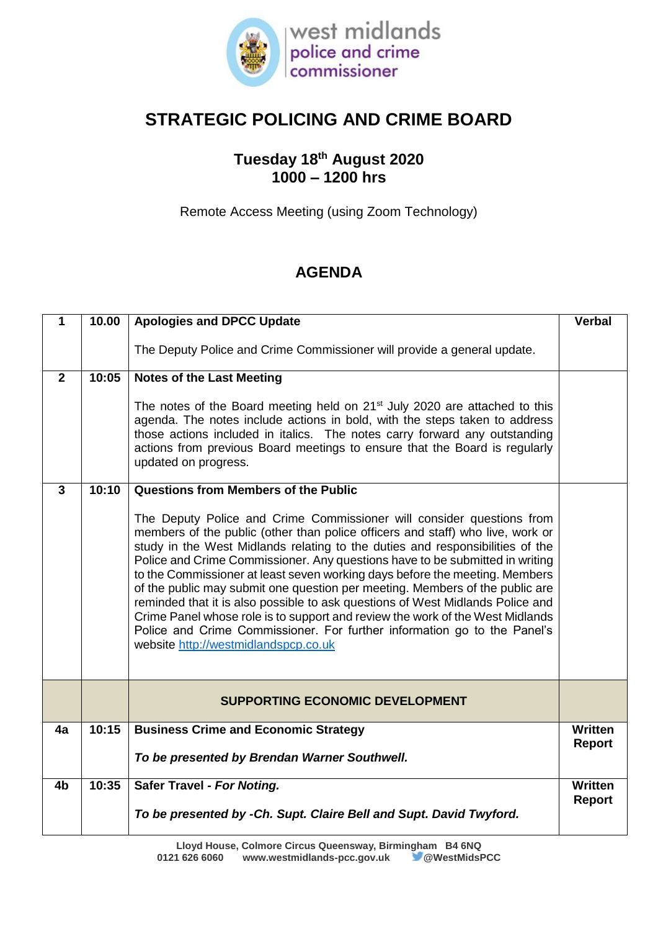

# **STRATEGIC POLICING AND CRIME BOARD**

## **Tuesday 18th August 2020 1000 – 1200 hrs**

Remote Access Meeting (using Zoom Technology)

# **AGENDA**

| 1              | 10.00 | <b>Apologies and DPCC Update</b>                                                                                                                                                                                                                                                                                                                                                                                                                                                                                                                                                                                                                                                                                                                                               | <b>Verbal</b>            |
|----------------|-------|--------------------------------------------------------------------------------------------------------------------------------------------------------------------------------------------------------------------------------------------------------------------------------------------------------------------------------------------------------------------------------------------------------------------------------------------------------------------------------------------------------------------------------------------------------------------------------------------------------------------------------------------------------------------------------------------------------------------------------------------------------------------------------|--------------------------|
|                |       | The Deputy Police and Crime Commissioner will provide a general update.                                                                                                                                                                                                                                                                                                                                                                                                                                                                                                                                                                                                                                                                                                        |                          |
| $\overline{2}$ | 10:05 | <b>Notes of the Last Meeting</b>                                                                                                                                                                                                                                                                                                                                                                                                                                                                                                                                                                                                                                                                                                                                               |                          |
|                |       | The notes of the Board meeting held on $21st$ July 2020 are attached to this<br>agenda. The notes include actions in bold, with the steps taken to address<br>those actions included in italics. The notes carry forward any outstanding<br>actions from previous Board meetings to ensure that the Board is regularly<br>updated on progress.                                                                                                                                                                                                                                                                                                                                                                                                                                 |                          |
| $\overline{3}$ | 10:10 | Questions from Members of the Public                                                                                                                                                                                                                                                                                                                                                                                                                                                                                                                                                                                                                                                                                                                                           |                          |
|                |       | The Deputy Police and Crime Commissioner will consider questions from<br>members of the public (other than police officers and staff) who live, work or<br>study in the West Midlands relating to the duties and responsibilities of the<br>Police and Crime Commissioner. Any questions have to be submitted in writing<br>to the Commissioner at least seven working days before the meeting. Members<br>of the public may submit one question per meeting. Members of the public are<br>reminded that it is also possible to ask questions of West Midlands Police and<br>Crime Panel whose role is to support and review the work of the West Midlands<br>Police and Crime Commissioner. For further information go to the Panel's<br>website http://westmidlandspcp.co.uk |                          |
|                |       | <b>SUPPORTING ECONOMIC DEVELOPMENT</b>                                                                                                                                                                                                                                                                                                                                                                                                                                                                                                                                                                                                                                                                                                                                         |                          |
| 4a             | 10:15 | <b>Business Crime and Economic Strategy</b>                                                                                                                                                                                                                                                                                                                                                                                                                                                                                                                                                                                                                                                                                                                                    | Written<br><b>Report</b> |
|                |       | To be presented by Brendan Warner Southwell.                                                                                                                                                                                                                                                                                                                                                                                                                                                                                                                                                                                                                                                                                                                                   |                          |
| 4b             | 10:35 | Safer Travel - For Noting.                                                                                                                                                                                                                                                                                                                                                                                                                                                                                                                                                                                                                                                                                                                                                     | Written<br>Report        |
|                |       | To be presented by -Ch. Supt. Claire Bell and Supt. David Twyford.                                                                                                                                                                                                                                                                                                                                                                                                                                                                                                                                                                                                                                                                                                             |                          |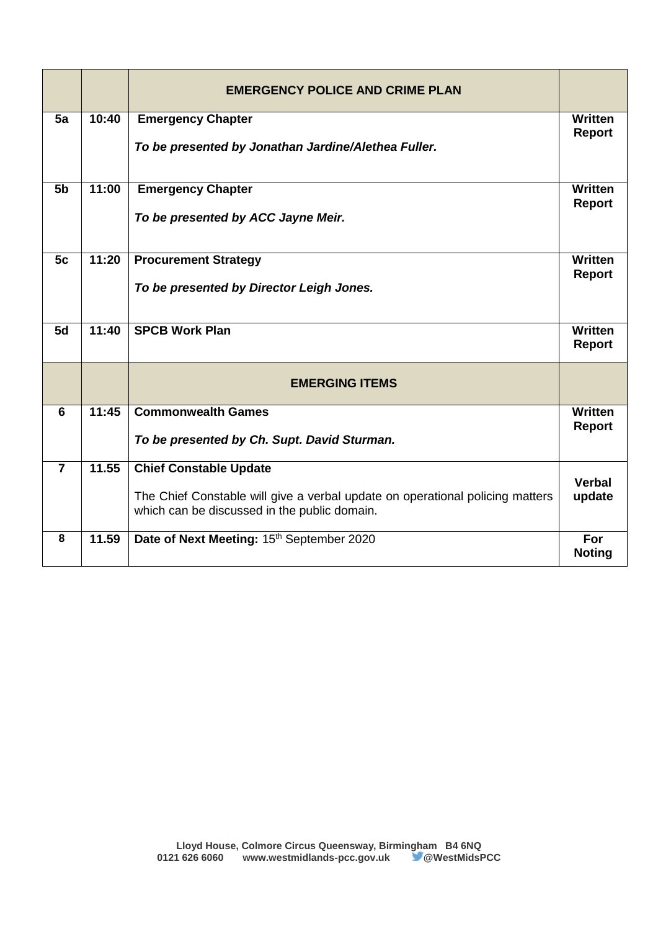|                |       | <b>EMERGENCY POLICE AND CRIME PLAN</b>                                                                                                                         |                                 |
|----------------|-------|----------------------------------------------------------------------------------------------------------------------------------------------------------------|---------------------------------|
| 5a             | 10:40 | <b>Emergency Chapter</b><br>To be presented by Jonathan Jardine/Alethea Fuller.                                                                                | <b>Written</b><br><b>Report</b> |
| 5 <sub>b</sub> | 11:00 | <b>Emergency Chapter</b><br>To be presented by ACC Jayne Meir.                                                                                                 | <b>Written</b><br><b>Report</b> |
| 5c             | 11:20 | <b>Procurement Strategy</b><br>To be presented by Director Leigh Jones.                                                                                        | <b>Written</b><br><b>Report</b> |
| 5d             | 11:40 | <b>SPCB Work Plan</b>                                                                                                                                          | <b>Written</b><br><b>Report</b> |
|                |       | <b>EMERGING ITEMS</b>                                                                                                                                          |                                 |
| 6              | 11:45 | <b>Commonwealth Games</b><br>To be presented by Ch. Supt. David Sturman.                                                                                       | <b>Written</b><br><b>Report</b> |
| $\overline{7}$ | 11.55 | <b>Chief Constable Update</b><br>The Chief Constable will give a verbal update on operational policing matters<br>which can be discussed in the public domain. | <b>Verbal</b><br>update         |
| 8              | 11.59 | Date of Next Meeting: 15th September 2020                                                                                                                      | For<br><b>Noting</b>            |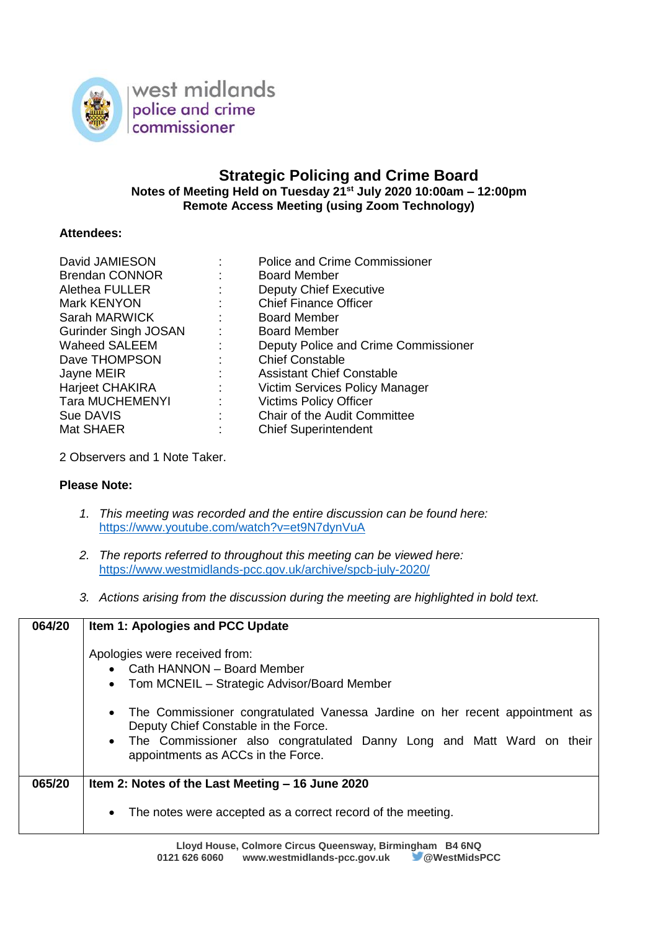

### **Strategic Policing and Crime Board Notes of Meeting Held on Tuesday 21st July 2020 10:00am – 12:00pm Remote Access Meeting (using Zoom Technology)**

### **Attendees:**

|                              | <b>Police and Crime Commissioner</b> |
|------------------------------|--------------------------------------|
|                              | <b>Board Member</b>                  |
| ÷                            | <b>Deputy Chief Executive</b>        |
| ÷                            | <b>Chief Finance Officer</b>         |
| $\mathbb{Z}^{\mathbb{Z}}$    | <b>Board Member</b>                  |
| $\mathcal{L}_{\mathrm{max}}$ | <b>Board Member</b>                  |
| ÷                            | Deputy Police and Crime Commissioner |
|                              | <b>Chief Constable</b>               |
| ÷                            | <b>Assistant Chief Constable</b>     |
| $\mathbb{R}^n$               | Victim Services Policy Manager       |
| ÷                            | <b>Victims Policy Officer</b>        |
| t                            | <b>Chair of the Audit Committee</b>  |
|                              | <b>Chief Superintendent</b>          |
|                              |                                      |

2 Observers and 1 Note Taker.

### **Please Note:**

- *1. This meeting was recorded and the entire discussion can be found here:* <https://www.youtube.com/watch?v=et9N7dynVuA>
- *2. The reports referred to throughout this meeting can be viewed here:* <https://www.westmidlands-pcc.gov.uk/archive/spcb-july-2020/>
- *3. Actions arising from the discussion during the meeting are highlighted in bold text.*

| 064/20 | Item 1: Apologies and PCC Update                                                                                                                                                                                                   |
|--------|------------------------------------------------------------------------------------------------------------------------------------------------------------------------------------------------------------------------------------|
|        | Apologies were received from:<br>• Cath HANNON - Board Member<br>Tom MCNEIL - Strategic Advisor/Board Member                                                                                                                       |
|        | The Commissioner congratulated Vanessa Jardine on her recent appointment as<br>Deputy Chief Constable in the Force.<br>The Commissioner also congratulated Danny Long and Matt Ward on their<br>appointments as ACCs in the Force. |
| 065/20 | Item 2: Notes of the Last Meeting - 16 June 2020                                                                                                                                                                                   |
|        | The notes were accepted as a correct record of the meeting.<br>$\bullet$                                                                                                                                                           |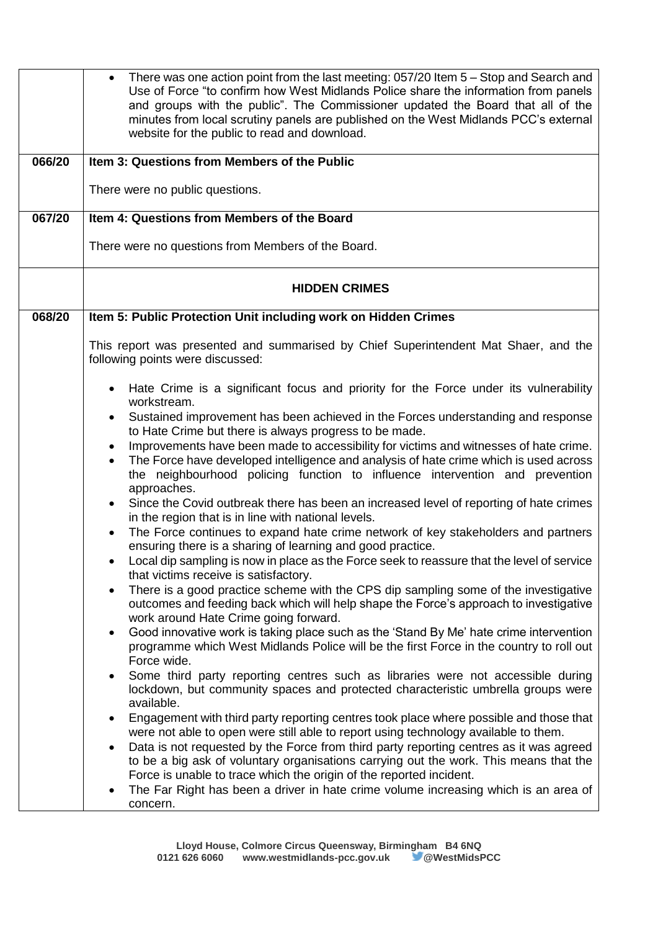| 066/20 | There was one action point from the last meeting: 057/20 Item 5 – Stop and Search and<br>$\bullet$<br>Use of Force "to confirm how West Midlands Police share the information from panels<br>and groups with the public". The Commissioner updated the Board that all of the<br>minutes from local scrutiny panels are published on the West Midlands PCC's external<br>website for the public to read and download.<br>Item 3: Questions from Members of the Public<br>There were no public questions.                                                                                                                                                                                                                                                                                                                                                                                                                                                                                                                                                                                                                                                                                                                                                                                                                                                                                                                                                                                                                                                                                                                                                                                                                                                                                                                                                                                                                                                                                                                                                                                                                                                                   |
|--------|---------------------------------------------------------------------------------------------------------------------------------------------------------------------------------------------------------------------------------------------------------------------------------------------------------------------------------------------------------------------------------------------------------------------------------------------------------------------------------------------------------------------------------------------------------------------------------------------------------------------------------------------------------------------------------------------------------------------------------------------------------------------------------------------------------------------------------------------------------------------------------------------------------------------------------------------------------------------------------------------------------------------------------------------------------------------------------------------------------------------------------------------------------------------------------------------------------------------------------------------------------------------------------------------------------------------------------------------------------------------------------------------------------------------------------------------------------------------------------------------------------------------------------------------------------------------------------------------------------------------------------------------------------------------------------------------------------------------------------------------------------------------------------------------------------------------------------------------------------------------------------------------------------------------------------------------------------------------------------------------------------------------------------------------------------------------------------------------------------------------------------------------------------------------------|
| 067/20 | Item 4: Questions from Members of the Board                                                                                                                                                                                                                                                                                                                                                                                                                                                                                                                                                                                                                                                                                                                                                                                                                                                                                                                                                                                                                                                                                                                                                                                                                                                                                                                                                                                                                                                                                                                                                                                                                                                                                                                                                                                                                                                                                                                                                                                                                                                                                                                               |
|        | There were no questions from Members of the Board.                                                                                                                                                                                                                                                                                                                                                                                                                                                                                                                                                                                                                                                                                                                                                                                                                                                                                                                                                                                                                                                                                                                                                                                                                                                                                                                                                                                                                                                                                                                                                                                                                                                                                                                                                                                                                                                                                                                                                                                                                                                                                                                        |
|        | <b>HIDDEN CRIMES</b>                                                                                                                                                                                                                                                                                                                                                                                                                                                                                                                                                                                                                                                                                                                                                                                                                                                                                                                                                                                                                                                                                                                                                                                                                                                                                                                                                                                                                                                                                                                                                                                                                                                                                                                                                                                                                                                                                                                                                                                                                                                                                                                                                      |
| 068/20 | Item 5: Public Protection Unit including work on Hidden Crimes                                                                                                                                                                                                                                                                                                                                                                                                                                                                                                                                                                                                                                                                                                                                                                                                                                                                                                                                                                                                                                                                                                                                                                                                                                                                                                                                                                                                                                                                                                                                                                                                                                                                                                                                                                                                                                                                                                                                                                                                                                                                                                            |
|        | This report was presented and summarised by Chief Superintendent Mat Shaer, and the<br>following points were discussed:                                                                                                                                                                                                                                                                                                                                                                                                                                                                                                                                                                                                                                                                                                                                                                                                                                                                                                                                                                                                                                                                                                                                                                                                                                                                                                                                                                                                                                                                                                                                                                                                                                                                                                                                                                                                                                                                                                                                                                                                                                                   |
|        | Hate Crime is a significant focus and priority for the Force under its vulnerability<br>٠<br>workstream.<br>Sustained improvement has been achieved in the Forces understanding and response<br>٠<br>to Hate Crime but there is always progress to be made.<br>Improvements have been made to accessibility for victims and witnesses of hate crime.<br>The Force have developed intelligence and analysis of hate crime which is used across<br>the neighbourhood policing function to influence intervention and prevention<br>approaches.<br>Since the Covid outbreak there has been an increased level of reporting of hate crimes<br>in the region that is in line with national levels.<br>The Force continues to expand hate crime network of key stakeholders and partners<br>ensuring there is a sharing of learning and good practice.<br>Local dip sampling is now in place as the Force seek to reassure that the level of service<br>that victims receive is satisfactory.<br>There is a good practice scheme with the CPS dip sampling some of the investigative<br>outcomes and feeding back which will help shape the Force's approach to investigative<br>work around Hate Crime going forward.<br>Good innovative work is taking place such as the 'Stand By Me' hate crime intervention<br>programme which West Midlands Police will be the first Force in the country to roll out<br>Force wide.<br>Some third party reporting centres such as libraries were not accessible during<br>٠<br>lockdown, but community spaces and protected characteristic umbrella groups were<br>available.<br>Engagement with third party reporting centres took place where possible and those that<br>were not able to open were still able to report using technology available to them.<br>Data is not requested by the Force from third party reporting centres as it was agreed<br>$\bullet$<br>to be a big ask of voluntary organisations carrying out the work. This means that the<br>Force is unable to trace which the origin of the reported incident.<br>The Far Right has been a driver in hate crime volume increasing which is an area of<br>concern. |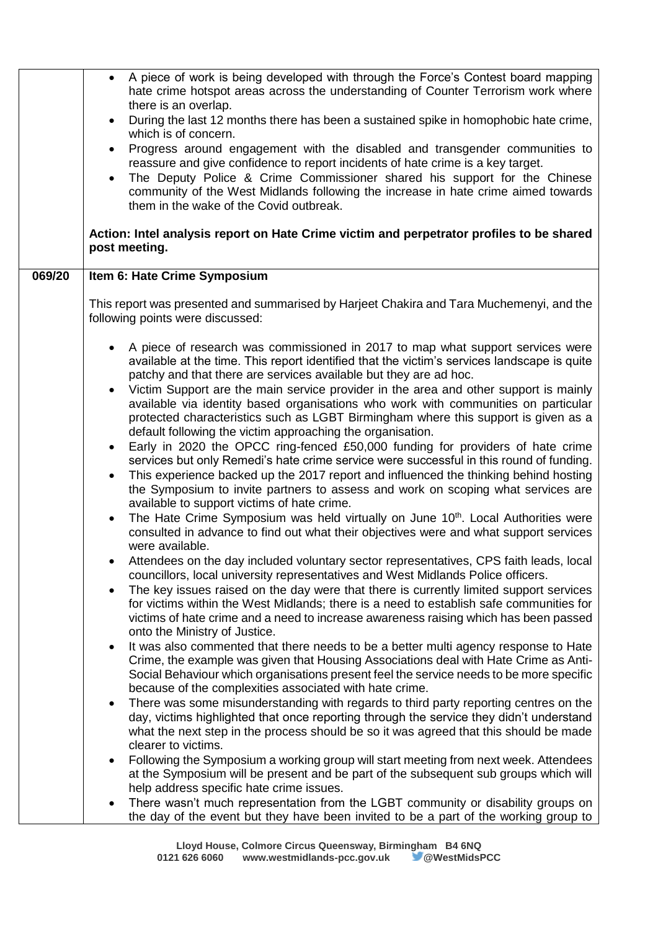|        | A piece of work is being developed with through the Force's Contest board mapping<br>hate crime hotspot areas across the understanding of Counter Terrorism work where<br>there is an overlap.<br>During the last 12 months there has been a sustained spike in homophobic hate crime,<br>which is of concern.<br>Progress around engagement with the disabled and transgender communities to<br>$\bullet$<br>reassure and give confidence to report incidents of hate crime is a key target.<br>The Deputy Police & Crime Commissioner shared his support for the Chinese<br>community of the West Midlands following the increase in hate crime aimed towards<br>them in the wake of the Covid outbreak. |
|--------|------------------------------------------------------------------------------------------------------------------------------------------------------------------------------------------------------------------------------------------------------------------------------------------------------------------------------------------------------------------------------------------------------------------------------------------------------------------------------------------------------------------------------------------------------------------------------------------------------------------------------------------------------------------------------------------------------------|
|        | Action: Intel analysis report on Hate Crime victim and perpetrator profiles to be shared<br>post meeting.                                                                                                                                                                                                                                                                                                                                                                                                                                                                                                                                                                                                  |
| 069/20 | Item 6: Hate Crime Symposium                                                                                                                                                                                                                                                                                                                                                                                                                                                                                                                                                                                                                                                                               |
|        | This report was presented and summarised by Harjeet Chakira and Tara Muchemenyi, and the<br>following points were discussed:                                                                                                                                                                                                                                                                                                                                                                                                                                                                                                                                                                               |
|        | A piece of research was commissioned in 2017 to map what support services were<br>available at the time. This report identified that the victim's services landscape is quite<br>patchy and that there are services available but they are ad hoc.                                                                                                                                                                                                                                                                                                                                                                                                                                                         |
|        | Victim Support are the main service provider in the area and other support is mainly<br>available via identity based organisations who work with communities on particular<br>protected characteristics such as LGBT Birmingham where this support is given as a<br>default following the victim approaching the organisation.                                                                                                                                                                                                                                                                                                                                                                             |
|        | Early in 2020 the OPCC ring-fenced £50,000 funding for providers of hate crime<br>$\bullet$<br>services but only Remedi's hate crime service were successful in this round of funding.<br>This experience backed up the 2017 report and influenced the thinking behind hosting<br>$\bullet$<br>the Symposium to invite partners to assess and work on scoping what services are<br>available to support victims of hate crime.                                                                                                                                                                                                                                                                             |
|        | The Hate Crime Symposium was held virtually on June 10 <sup>th</sup> . Local Authorities were<br>$\bullet$<br>consulted in advance to find out what their objectives were and what support services<br>were available.                                                                                                                                                                                                                                                                                                                                                                                                                                                                                     |
|        | Attendees on the day included voluntary sector representatives, CPS faith leads, local<br>councillors, local university representatives and West Midlands Police officers.                                                                                                                                                                                                                                                                                                                                                                                                                                                                                                                                 |
|        | The key issues raised on the day were that there is currently limited support services<br>for victims within the West Midlands; there is a need to establish safe communities for<br>victims of hate crime and a need to increase awareness raising which has been passed<br>onto the Ministry of Justice.                                                                                                                                                                                                                                                                                                                                                                                                 |
|        | It was also commented that there needs to be a better multi agency response to Hate<br>Crime, the example was given that Housing Associations deal with Hate Crime as Anti-<br>Social Behaviour which organisations present feel the service needs to be more specific<br>because of the complexities associated with hate crime.                                                                                                                                                                                                                                                                                                                                                                          |
|        | There was some misunderstanding with regards to third party reporting centres on the<br>day, victims highlighted that once reporting through the service they didn't understand<br>what the next step in the process should be so it was agreed that this should be made<br>clearer to victims.                                                                                                                                                                                                                                                                                                                                                                                                            |
|        | Following the Symposium a working group will start meeting from next week. Attendees<br>٠<br>at the Symposium will be present and be part of the subsequent sub groups which will<br>help address specific hate crime issues.                                                                                                                                                                                                                                                                                                                                                                                                                                                                              |
|        | There wasn't much representation from the LGBT community or disability groups on<br>the day of the event but they have been invited to be a part of the working group to                                                                                                                                                                                                                                                                                                                                                                                                                                                                                                                                   |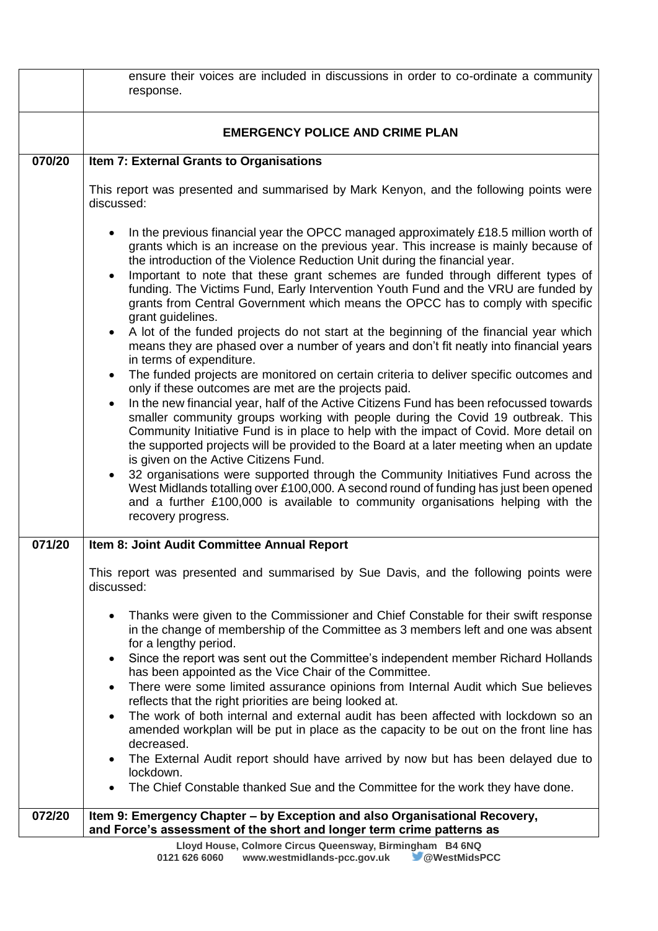|        | ensure their voices are included in discussions in order to co-ordinate a community                                                                                                                                                                                                                                                                                                                                                                                                                                                          |
|--------|----------------------------------------------------------------------------------------------------------------------------------------------------------------------------------------------------------------------------------------------------------------------------------------------------------------------------------------------------------------------------------------------------------------------------------------------------------------------------------------------------------------------------------------------|
|        | response.                                                                                                                                                                                                                                                                                                                                                                                                                                                                                                                                    |
|        |                                                                                                                                                                                                                                                                                                                                                                                                                                                                                                                                              |
|        | <b>EMERGENCY POLICE AND CRIME PLAN</b>                                                                                                                                                                                                                                                                                                                                                                                                                                                                                                       |
| 070/20 | Item 7: External Grants to Organisations                                                                                                                                                                                                                                                                                                                                                                                                                                                                                                     |
|        | This report was presented and summarised by Mark Kenyon, and the following points were<br>discussed:                                                                                                                                                                                                                                                                                                                                                                                                                                         |
|        | In the previous financial year the OPCC managed approximately £18.5 million worth of<br>grants which is an increase on the previous year. This increase is mainly because of<br>the introduction of the Violence Reduction Unit during the financial year.<br>Important to note that these grant schemes are funded through different types of<br>funding. The Victims Fund, Early Intervention Youth Fund and the VRU are funded by<br>grants from Central Government which means the OPCC has to comply with specific<br>grant guidelines. |
|        | A lot of the funded projects do not start at the beginning of the financial year which<br>means they are phased over a number of years and don't fit neatly into financial years<br>in terms of expenditure.                                                                                                                                                                                                                                                                                                                                 |
|        | The funded projects are monitored on certain criteria to deliver specific outcomes and<br>٠<br>only if these outcomes are met are the projects paid.<br>In the new financial year, half of the Active Citizens Fund has been refocussed towards                                                                                                                                                                                                                                                                                              |
|        | smaller community groups working with people during the Covid 19 outbreak. This<br>Community Initiative Fund is in place to help with the impact of Covid. More detail on<br>the supported projects will be provided to the Board at a later meeting when an update<br>is given on the Active Citizens Fund.                                                                                                                                                                                                                                 |
|        | 32 organisations were supported through the Community Initiatives Fund across the<br>$\bullet$<br>West Midlands totalling over £100,000. A second round of funding has just been opened<br>and a further £100,000 is available to community organisations helping with the<br>recovery progress.                                                                                                                                                                                                                                             |
| 071/20 | Item 8: Joint Audit Committee Annual Report                                                                                                                                                                                                                                                                                                                                                                                                                                                                                                  |
|        | This report was presented and summarised by Sue Davis, and the following points were<br>discussed:                                                                                                                                                                                                                                                                                                                                                                                                                                           |
|        | Thanks were given to the Commissioner and Chief Constable for their swift response<br>$\bullet$<br>in the change of membership of the Committee as 3 members left and one was absent<br>for a lengthy period.                                                                                                                                                                                                                                                                                                                                |
|        | Since the report was sent out the Committee's independent member Richard Hollands<br>٠<br>has been appointed as the Vice Chair of the Committee.                                                                                                                                                                                                                                                                                                                                                                                             |
|        | There were some limited assurance opinions from Internal Audit which Sue believes<br>$\bullet$<br>reflects that the right priorities are being looked at.                                                                                                                                                                                                                                                                                                                                                                                    |
|        | The work of both internal and external audit has been affected with lockdown so an<br>$\bullet$<br>amended workplan will be put in place as the capacity to be out on the front line has<br>decreased.                                                                                                                                                                                                                                                                                                                                       |
|        | The External Audit report should have arrived by now but has been delayed due to<br>lockdown.<br>The Chief Constable thanked Sue and the Committee for the work they have done.                                                                                                                                                                                                                                                                                                                                                              |
| 072/20 | Item 9: Emergency Chapter - by Exception and also Organisational Recovery,                                                                                                                                                                                                                                                                                                                                                                                                                                                                   |
|        | and Force's assessment of the short and longer term crime patterns as                                                                                                                                                                                                                                                                                                                                                                                                                                                                        |
|        | Lloyd House, Colmore Circus Queensway, Birmingham B4 6NQ                                                                                                                                                                                                                                                                                                                                                                                                                                                                                     |
|        | 0121 626 6060<br>www.westmidlands-pcc.gov.uk<br>@WestMidsPCC                                                                                                                                                                                                                                                                                                                                                                                                                                                                                 |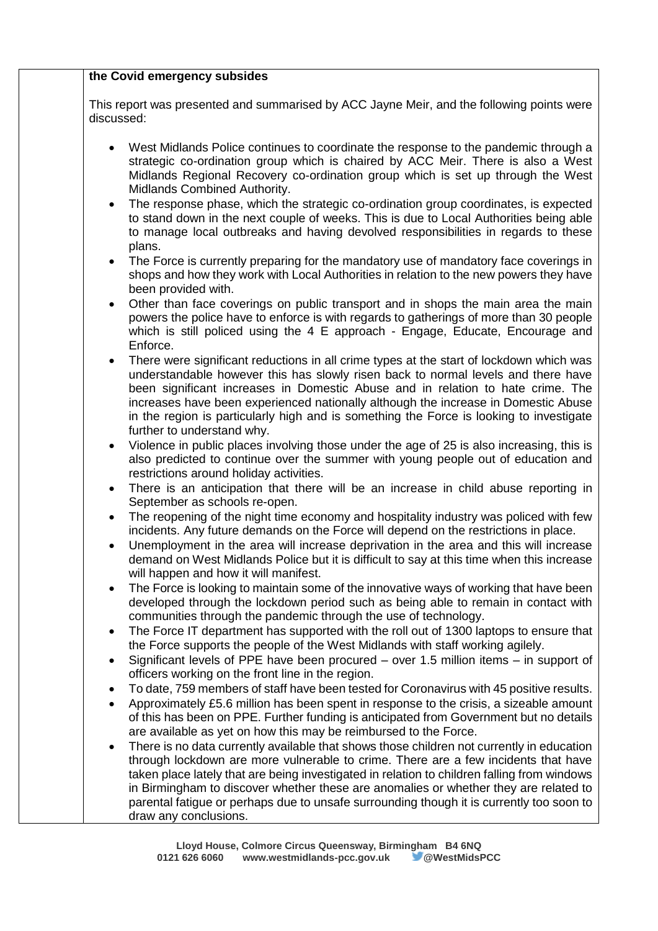| discussed:     | This report was presented and summarised by ACC Jayne Meir, and the following points were                                                                                                                                                                                                                                                                                                                                                                                                   |
|----------------|---------------------------------------------------------------------------------------------------------------------------------------------------------------------------------------------------------------------------------------------------------------------------------------------------------------------------------------------------------------------------------------------------------------------------------------------------------------------------------------------|
|                | West Midlands Police continues to coordinate the response to the pandemic through a<br>strategic co-ordination group which is chaired by ACC Meir. There is also a West<br>Midlands Regional Recovery co-ordination group which is set up through the West<br>Midlands Combined Authority.                                                                                                                                                                                                  |
| $\bullet$      | The response phase, which the strategic co-ordination group coordinates, is expected<br>to stand down in the next couple of weeks. This is due to Local Authorities being able<br>to manage local outbreaks and having devolved responsibilities in regards to these<br>plans.                                                                                                                                                                                                              |
|                | The Force is currently preparing for the mandatory use of mandatory face coverings in<br>shops and how they work with Local Authorities in relation to the new powers they have<br>been provided with.                                                                                                                                                                                                                                                                                      |
| $\bullet$      | Other than face coverings on public transport and in shops the main area the main<br>powers the police have to enforce is with regards to gatherings of more than 30 people<br>which is still policed using the 4 E approach - Engage, Educate, Encourage and<br>Enforce.                                                                                                                                                                                                                   |
| $\bullet$      | There were significant reductions in all crime types at the start of lockdown which was<br>understandable however this has slowly risen back to normal levels and there have<br>been significant increases in Domestic Abuse and in relation to hate crime. The<br>increases have been experienced nationally although the increase in Domestic Abuse<br>in the region is particularly high and is something the Force is looking to investigate<br>further to understand why.              |
| $\bullet$      | Violence in public places involving those under the age of 25 is also increasing, this is<br>also predicted to continue over the summer with young people out of education and<br>restrictions around holiday activities.                                                                                                                                                                                                                                                                   |
| ٠              | There is an anticipation that there will be an increase in child abuse reporting in<br>September as schools re-open.                                                                                                                                                                                                                                                                                                                                                                        |
| ٠              | The reopening of the night time economy and hospitality industry was policed with few<br>incidents. Any future demands on the Force will depend on the restrictions in place.                                                                                                                                                                                                                                                                                                               |
| $\bullet$      | Unemployment in the area will increase deprivation in the area and this will increase<br>demand on West Midlands Police but it is difficult to say at this time when this increase<br>will happen and how it will manifest.                                                                                                                                                                                                                                                                 |
|                | The Force is looking to maintain some of the innovative ways of working that have been<br>developed through the lockdown period such as being able to remain in contact with<br>communities through the pandemic through the use of technology.                                                                                                                                                                                                                                             |
| $\bullet$      | The Force IT department has supported with the roll out of 1300 laptops to ensure that<br>the Force supports the people of the West Midlands with staff working agilely.                                                                                                                                                                                                                                                                                                                    |
| ٠              | Significant levels of PPE have been procured $-$ over 1.5 million items $-$ in support of<br>officers working on the front line in the region.                                                                                                                                                                                                                                                                                                                                              |
| ٠<br>$\bullet$ | To date, 759 members of staff have been tested for Coronavirus with 45 positive results.<br>Approximately £5.6 million has been spent in response to the crisis, a sizeable amount<br>of this has been on PPE. Further funding is anticipated from Government but no details<br>are available as yet on how this may be reimbursed to the Force.                                                                                                                                            |
| $\bullet$      | There is no data currently available that shows those children not currently in education<br>through lockdown are more vulnerable to crime. There are a few incidents that have<br>taken place lately that are being investigated in relation to children falling from windows<br>in Birmingham to discover whether these are anomalies or whether they are related to<br>parental fatigue or perhaps due to unsafe surrounding though it is currently too soon to<br>draw any conclusions. |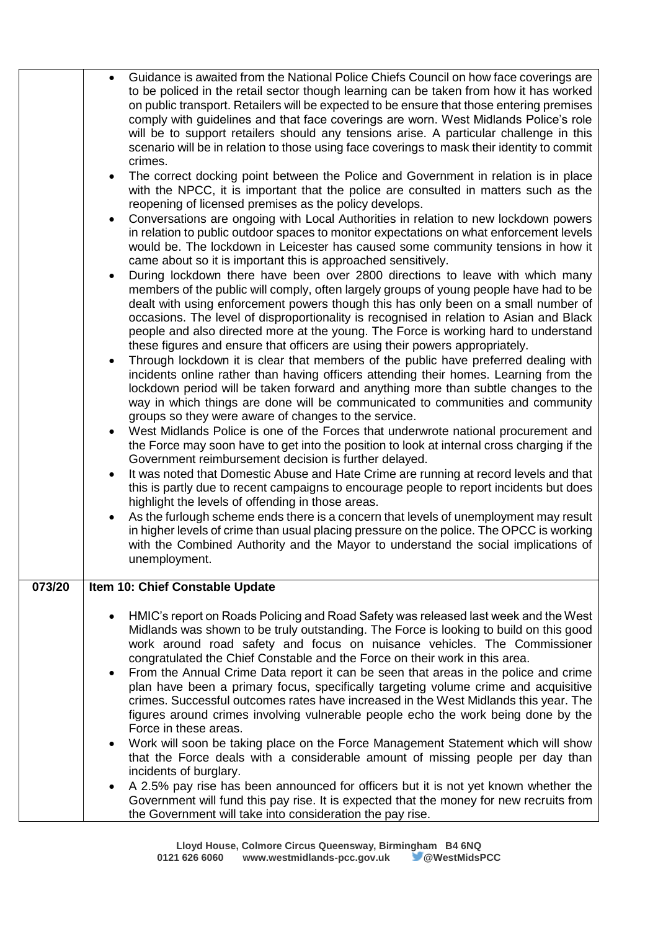|        | Guidance is awaited from the National Police Chiefs Council on how face coverings are<br>to be policed in the retail sector though learning can be taken from how it has worked                                                                                                                                                                                                                              |
|--------|--------------------------------------------------------------------------------------------------------------------------------------------------------------------------------------------------------------------------------------------------------------------------------------------------------------------------------------------------------------------------------------------------------------|
|        | on public transport. Retailers will be expected to be ensure that those entering premises<br>comply with guidelines and that face coverings are worn. West Midlands Police's role<br>will be to support retailers should any tensions arise. A particular challenge in this<br>scenario will be in relation to those using face coverings to mask their identity to commit                                   |
|        | crimes.                                                                                                                                                                                                                                                                                                                                                                                                      |
|        | The correct docking point between the Police and Government in relation is in place<br>with the NPCC, it is important that the police are consulted in matters such as the<br>reopening of licensed premises as the policy develops.                                                                                                                                                                         |
|        | Conversations are ongoing with Local Authorities in relation to new lockdown powers<br>in relation to public outdoor spaces to monitor expectations on what enforcement levels<br>would be. The lockdown in Leicester has caused some community tensions in how it<br>came about so it is important this is approached sensitively.                                                                          |
|        | During lockdown there have been over 2800 directions to leave with which many<br>members of the public will comply, often largely groups of young people have had to be<br>dealt with using enforcement powers though this has only been on a small number of                                                                                                                                                |
|        | occasions. The level of disproportionality is recognised in relation to Asian and Black<br>people and also directed more at the young. The Force is working hard to understand<br>these figures and ensure that officers are using their powers appropriately.                                                                                                                                               |
|        | Through lockdown it is clear that members of the public have preferred dealing with<br>incidents online rather than having officers attending their homes. Learning from the<br>lockdown period will be taken forward and anything more than subtle changes to the<br>way in which things are done will be communicated to communities and community<br>groups so they were aware of changes to the service. |
|        | West Midlands Police is one of the Forces that underwrote national procurement and<br>the Force may soon have to get into the position to look at internal cross charging if the<br>Government reimbursement decision is further delayed.                                                                                                                                                                    |
|        | It was noted that Domestic Abuse and Hate Crime are running at record levels and that<br>this is partly due to recent campaigns to encourage people to report incidents but does<br>highlight the levels of offending in those areas.                                                                                                                                                                        |
|        | As the furlough scheme ends there is a concern that levels of unemployment may result<br>in higher levels of crime than usual placing pressure on the police. The OPCC is working<br>with the Combined Authority and the Mayor to understand the social implications of<br>unemployment.                                                                                                                     |
| 073/20 | Item 10: Chief Constable Update                                                                                                                                                                                                                                                                                                                                                                              |
|        | HMIC's report on Roads Policing and Road Safety was released last week and the West<br>Midlands was shown to be truly outstanding. The Force is looking to build on this good<br>work around road safety and focus on nuisance vehicles. The Commissioner                                                                                                                                                    |
|        | congratulated the Chief Constable and the Force on their work in this area.<br>From the Annual Crime Data report it can be seen that areas in the police and crime<br>٠                                                                                                                                                                                                                                      |
|        | plan have been a primary focus, specifically targeting volume crime and acquisitive<br>crimes. Successful outcomes rates have increased in the West Midlands this year. The<br>figures around crimes involving vulnerable people echo the work being done by the<br>Force in these areas.                                                                                                                    |
|        | Work will soon be taking place on the Force Management Statement which will show<br>that the Force deals with a considerable amount of missing people per day than<br>incidents of burglary.                                                                                                                                                                                                                 |
|        | A 2.5% pay rise has been announced for officers but it is not yet known whether the<br>$\bullet$<br>Government will fund this pay rise. It is expected that the money for new recruits from<br>the Government will take into consideration the pay rise.                                                                                                                                                     |